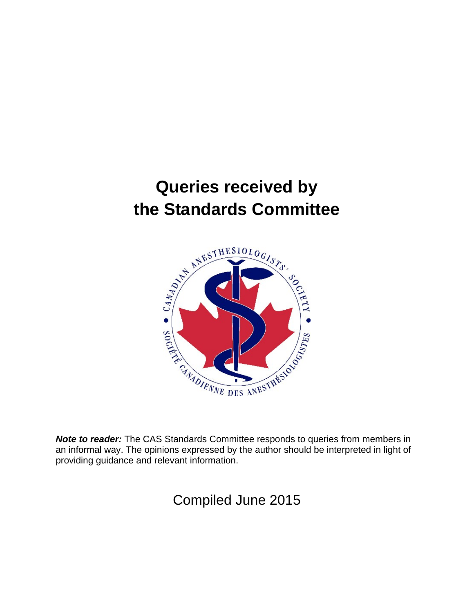# **Queries received by the Standards Committee**



*Note to reader:* The CAS Standards Committee responds to queries from members in an informal way. The opinions expressed by the author should be interpreted in light of providing guidance and relevant information.

Compiled June 2015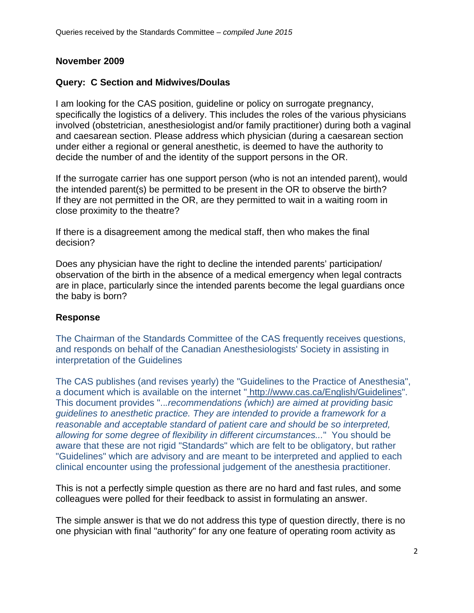## **November 2009**

## **Query: C Section and Midwives/Doulas**

I am looking for the CAS position, guideline or policy on surrogate pregnancy, specifically the logistics of a delivery. This includes the roles of the various physicians involved (obstetrician, anesthesiologist and/or family practitioner) during both a vaginal and caesarean section. Please address which physician (during a caesarean section under either a regional or general anesthetic, is deemed to have the authority to decide the number of and the identity of the support persons in the OR.

If the surrogate carrier has one support person (who is not an intended parent), would the intended parent(s) be permitted to be present in the OR to observe the birth? If they are not permitted in the OR, are they permitted to wait in a waiting room in close proximity to the theatre?

If there is a disagreement among the medical staff, then who makes the final decision?

Does any physician have the right to decline the intended parents' participation/ observation of the birth in the absence of a medical emergency when legal contracts are in place, particularly since the intended parents become the legal guardians once the baby is born?

#### **Response**

The Chairman of the Standards Committee of the CAS frequently receives questions, and responds on behalf of the Canadian Anesthesiologists' Society in assisting in interpretation of the Guidelines

The CAS publishes (and revises yearly) the "Guidelines to the Practice of Anesthesia", a document which is available on the internet " http://www.cas.ca/English/Guidelines". This document provides "..*.recommendations (which) are aimed at providing basic guidelines to anesthetic practice. They are intended to provide a framework for a reasonable and acceptable standard of patient care and should be so interpreted, allowing for some degree of flexibility in different circumstances...*" You should be aware that these are not rigid "Standards" which are felt to be obligatory, but rather "Guidelines" which are advisory and are meant to be interpreted and applied to each clinical encounter using the professional judgement of the anesthesia practitioner.

This is not a perfectly simple question as there are no hard and fast rules, and some colleagues were polled for their feedback to assist in formulating an answer.

The simple answer is that we do not address this type of question directly, there is no one physician with final "authority" for any one feature of operating room activity as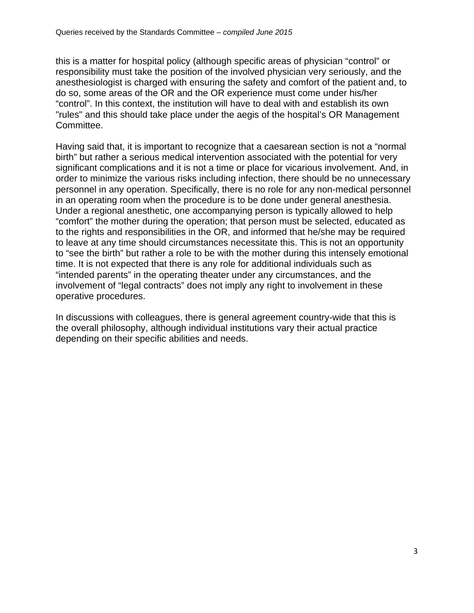this is a matter for hospital policy (although specific areas of physician "control" or responsibility must take the position of the involved physician very seriously, and the anesthesiologist is charged with ensuring the safety and comfort of the patient and, to do so, some areas of the OR and the OR experience must come under his/her "control". In this context, the institution will have to deal with and establish its own "rules" and this should take place under the aegis of the hospital's OR Management Committee.

Having said that, it is important to recognize that a caesarean section is not a "normal birth" but rather a serious medical intervention associated with the potential for very significant complications and it is not a time or place for vicarious involvement. And, in order to minimize the various risks including infection, there should be no unnecessary personnel in any operation. Specifically, there is no role for any non-medical personnel in an operating room when the procedure is to be done under general anesthesia. Under a regional anesthetic, one accompanying person is typically allowed to help "comfort" the mother during the operation; that person must be selected, educated as to the rights and responsibilities in the OR, and informed that he/she may be required to leave at any time should circumstances necessitate this. This is not an opportunity to "see the birth" but rather a role to be with the mother during this intensely emotional time. It is not expected that there is any role for additional individuals such as "intended parents" in the operating theater under any circumstances, and the involvement of "legal contracts" does not imply any right to involvement in these operative procedures.

In discussions with colleagues, there is general agreement country-wide that this is the overall philosophy, although individual institutions vary their actual practice depending on their specific abilities and needs.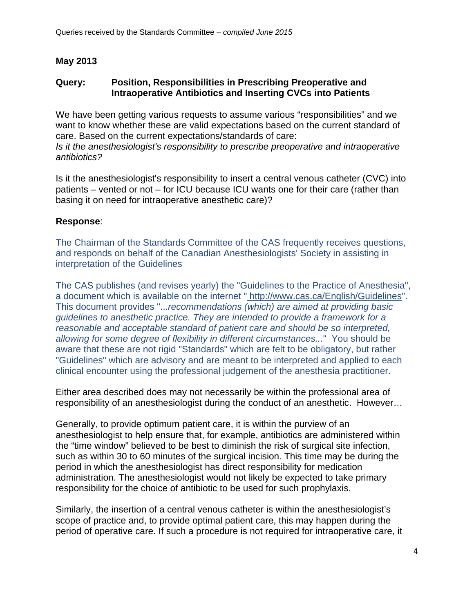# **May 2013**

#### **Query: Position, Responsibilities in Prescribing Preoperative and Intraoperative Antibiotics and Inserting CVCs into Patients**

We have been getting various requests to assume various "responsibilities" and we want to know whether these are valid expectations based on the current standard of care. Based on the current expectations/standards of care:

*Is it the anesthesiologist's responsibility to prescribe preoperative and intraoperative antibiotics?* 

Is it the anesthesiologist's responsibility to insert a central venous catheter (CVC) into patients – vented or not – for ICU because ICU wants one for their care (rather than basing it on need for intraoperative anesthetic care)?

## **Response**:

The Chairman of the Standards Committee of the CAS frequently receives questions, and responds on behalf of the Canadian Anesthesiologists' Society in assisting in interpretation of the Guidelines

The CAS publishes (and revises yearly) the "Guidelines to the Practice of Anesthesia", a document which is available on the internet " http://www.cas.ca/English/Guidelines". This document provides "..*.recommendations (which) are aimed at providing basic guidelines to anesthetic practice. They are intended to provide a framework for a reasonable and acceptable standard of patient care and should be so interpreted, allowing for some degree of flexibility in different circumstances...*" You should be aware that these are not rigid "Standards" which are felt to be obligatory, but rather "Guidelines" which are advisory and are meant to be interpreted and applied to each clinical encounter using the professional judgement of the anesthesia practitioner.

Either area described does may not necessarily be within the professional area of responsibility of an anesthesiologist during the conduct of an anesthetic. However…

Generally, to provide optimum patient care, it is within the purview of an anesthesiologist to help ensure that, for example, antibiotics are administered within the "time window" believed to be best to diminish the risk of surgical site infection, such as within 30 to 60 minutes of the surgical incision. This time may be during the period in which the anesthesiologist has direct responsibility for medication administration. The anesthesiologist would not likely be expected to take primary responsibility for the choice of antibiotic to be used for such prophylaxis.

Similarly, the insertion of a central venous catheter is within the anesthesiologist's scope of practice and, to provide optimal patient care, this may happen during the period of operative care. If such a procedure is not required for intraoperative care, it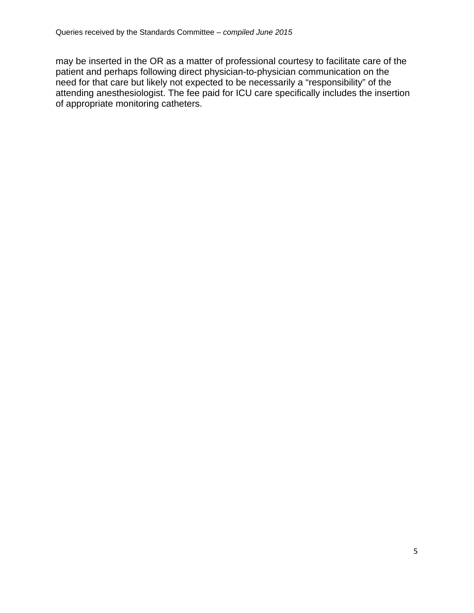may be inserted in the OR as a matter of professional courtesy to facilitate care of the patient and perhaps following direct physician-to-physician communication on the need for that care but likely not expected to be necessarily a "responsibility" of the attending anesthesiologist. The fee paid for ICU care specifically includes the insertion of appropriate monitoring catheters.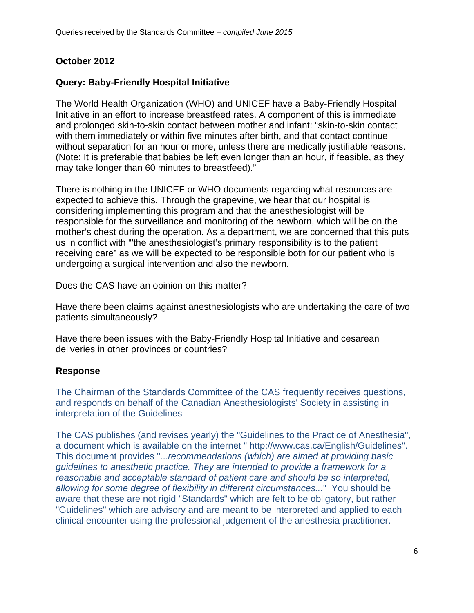# **October 2012**

# **Query: Baby-Friendly Hospital Initiative**

The World Health Organization (WHO) and UNICEF have a Baby-Friendly Hospital Initiative in an effort to increase breastfeed rates. A component of this is immediate and prolonged skin-to-skin contact between mother and infant: "skin-to-skin contact with them immediately or within five minutes after birth, and that contact continue without separation for an hour or more, unless there are medically justifiable reasons. (Note: It is preferable that babies be left even longer than an hour, if feasible, as they may take longer than 60 minutes to breastfeed)."

There is nothing in the UNICEF or WHO documents regarding what resources are expected to achieve this. Through the grapevine, we hear that our hospital is considering implementing this program and that the anesthesiologist will be responsible for the surveillance and monitoring of the newborn, which will be on the mother's chest during the operation. As a department, we are concerned that this puts us in conflict with "'the anesthesiologist's primary responsibility is to the patient receiving care" as we will be expected to be responsible both for our patient who is undergoing a surgical intervention and also the newborn.

Does the CAS have an opinion on this matter?

Have there been claims against anesthesiologists who are undertaking the care of two patients simultaneously?

Have there been issues with the Baby-Friendly Hospital Initiative and cesarean deliveries in other provinces or countries?

#### **Response**

The Chairman of the Standards Committee of the CAS frequently receives questions, and responds on behalf of the Canadian Anesthesiologists' Society in assisting in interpretation of the Guidelines

The CAS publishes (and revises yearly) the "Guidelines to the Practice of Anesthesia", a document which is available on the internet " http://www.cas.ca/English/Guidelines". This document provides "..*.recommendations (which) are aimed at providing basic guidelines to anesthetic practice. They are intended to provide a framework for a reasonable and acceptable standard of patient care and should be so interpreted, allowing for some degree of flexibility in different circumstances...*" You should be aware that these are not rigid "Standards" which are felt to be obligatory, but rather "Guidelines" which are advisory and are meant to be interpreted and applied to each clinical encounter using the professional judgement of the anesthesia practitioner.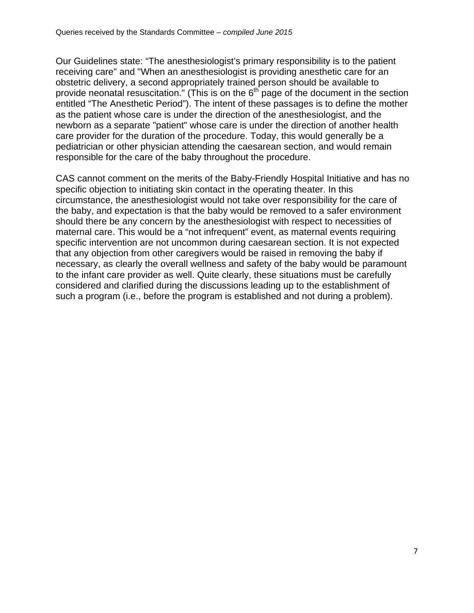Our Guidelines state: "The anesthesiologist's primary responsibility is to the patient receiving care" and "When an anesthesiologist is providing anesthetic care for an obstetric delivery, a second appropriately trained person should be available to provide neonatal resuscitation." (This is on the  $6<sup>th</sup>$  page of the document in the section entitled "The Anesthetic Period"). The intent of these passages is to define the mother as the patient whose care is under the direction of the anesthesiologist, and the newborn as a separate "patient" whose care is under the direction of another health care provider for the duration of the procedure. Today, this would generally be a pediatrician or other physician attending the caesarean section, and would remain responsible for the care of the baby throughout the procedure.

CAS cannot comment on the merits of the Baby-Friendly Hospital Initiative and has no specific objection to initiating skin contact in the operating theater. In this circumstance, the anesthesiologist would not take over responsibility for the care of the baby, and expectation is that the baby would be removed to a safer environment should there be any concern by the anesthesiologist with respect to necessities of maternal care. This would be a "not infrequent" event, as maternal events requiring specific intervention are not uncommon during caesarean section. It is not expected that any objection from other caregivers would be raised in removing the baby if necessary, as clearly the overall wellness and safety of the baby would be paramount to the infant care provider as well. Quite clearly, these situations must be carefully considered and clarified during the discussions leading up to the establishment of such a program (i.e., before the program is established and not during a problem).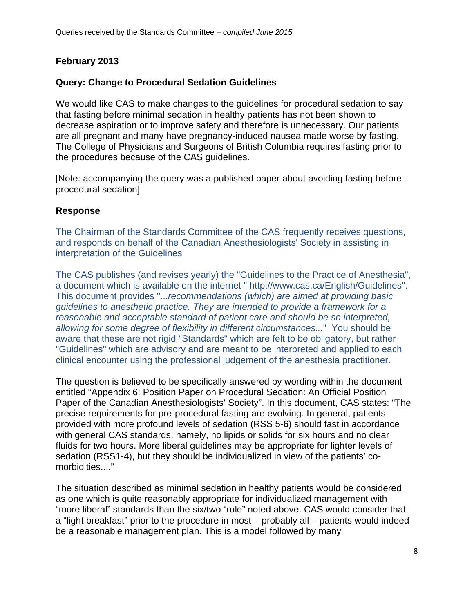# **February 2013**

# **Query: Change to Procedural Sedation Guidelines**

We would like CAS to make changes to the guidelines for procedural sedation to say that fasting before minimal sedation in healthy patients has not been shown to decrease aspiration or to improve safety and therefore is unnecessary. Our patients are all pregnant and many have pregnancy-induced nausea made worse by fasting. The College of Physicians and Surgeons of British Columbia requires fasting prior to the procedures because of the CAS guidelines.

[Note: accompanying the query was a published paper about avoiding fasting before procedural sedation]

## **Response**

The Chairman of the Standards Committee of the CAS frequently receives questions, and responds on behalf of the Canadian Anesthesiologists' Society in assisting in interpretation of the Guidelines

The CAS publishes (and revises yearly) the "Guidelines to the Practice of Anesthesia", a document which is available on the internet " http://www.cas.ca/English/Guidelines". This document provides "..*.recommendations (which) are aimed at providing basic guidelines to anesthetic practice. They are intended to provide a framework for a reasonable and acceptable standard of patient care and should be so interpreted, allowing for some degree of flexibility in different circumstances...*" You should be aware that these are not rigid "Standards" which are felt to be obligatory, but rather "Guidelines" which are advisory and are meant to be interpreted and applied to each clinical encounter using the professional judgement of the anesthesia practitioner.

The question is believed to be specifically answered by wording within the document entitled "Appendix 6: Position Paper on Procedural Sedation: An Official Position Paper of the Canadian Anesthesiologists' Society". In this document, CAS states: "The precise requirements for pre-procedural fasting are evolving. In general, patients provided with more profound levels of sedation (RSS 5-6) should fast in accordance with general CAS standards, namely, no lipids or solids for six hours and no clear fluids for two hours. More liberal guidelines may be appropriate for lighter levels of sedation (RSS1-4), but they should be individualized in view of the patients' comorbidities...."

The situation described as minimal sedation in healthy patients would be considered as one which is quite reasonably appropriate for individualized management with "more liberal" standards than the six/two "rule" noted above. CAS would consider that a "light breakfast" prior to the procedure in most – probably all – patients would indeed be a reasonable management plan. This is a model followed by many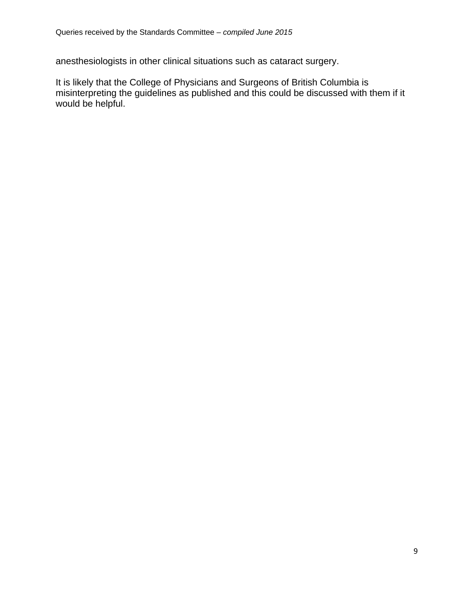anesthesiologists in other clinical situations such as cataract surgery.

It is likely that the College of Physicians and Surgeons of British Columbia is misinterpreting the guidelines as published and this could be discussed with them if it would be helpful.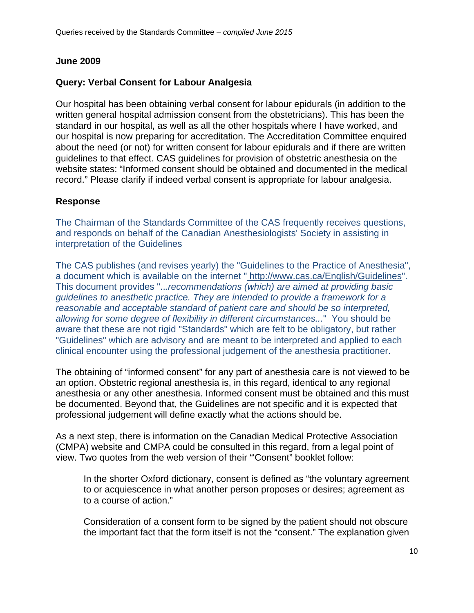## **June 2009**

# **Query: Verbal Consent for Labour Analgesia**

Our hospital has been obtaining verbal consent for labour epidurals (in addition to the written general hospital admission consent from the obstetricians). This has been the standard in our hospital, as well as all the other hospitals where I have worked, and our hospital is now preparing for accreditation. The Accreditation Committee enquired about the need (or not) for written consent for labour epidurals and if there are written guidelines to that effect. CAS guidelines for provision of obstetric anesthesia on the website states: "Informed consent should be obtained and documented in the medical record." Please clarify if indeed verbal consent is appropriate for labour analgesia.

#### **Response**

The Chairman of the Standards Committee of the CAS frequently receives questions, and responds on behalf of the Canadian Anesthesiologists' Society in assisting in interpretation of the Guidelines

The CAS publishes (and revises yearly) the "Guidelines to the Practice of Anesthesia", a document which is available on the internet " http://www.cas.ca/English/Guidelines". This document provides "..*.recommendations (which) are aimed at providing basic guidelines to anesthetic practice. They are intended to provide a framework for a reasonable and acceptable standard of patient care and should be so interpreted, allowing for some degree of flexibility in different circumstances...*" You should be aware that these are not rigid "Standards" which are felt to be obligatory, but rather "Guidelines" which are advisory and are meant to be interpreted and applied to each clinical encounter using the professional judgement of the anesthesia practitioner.

The obtaining of "informed consent" for any part of anesthesia care is not viewed to be an option. Obstetric regional anesthesia is, in this regard, identical to any regional anesthesia or any other anesthesia. Informed consent must be obtained and this must be documented. Beyond that, the Guidelines are not specific and it is expected that professional judgement will define exactly what the actions should be.

As a next step, there is information on the Canadian Medical Protective Association (CMPA) website and CMPA could be consulted in this regard, from a legal point of view. Two quotes from the web version of their "'Consent" booklet follow:

In the shorter Oxford dictionary, consent is defined as "the voluntary agreement to or acquiescence in what another person proposes or desires; agreement as to a course of action."

Consideration of a consent form to be signed by the patient should not obscure the important fact that the form itself is not the "consent." The explanation given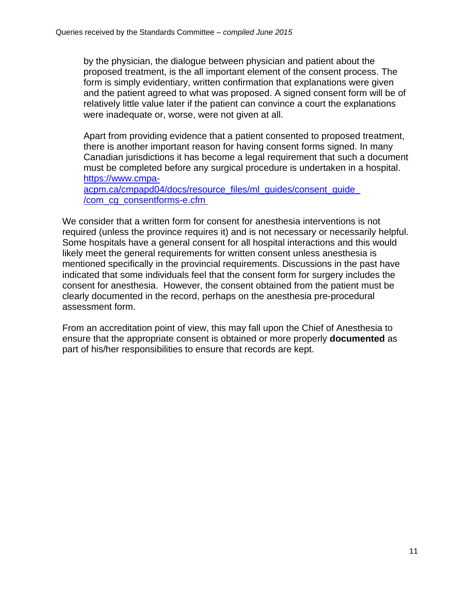by the physician, the dialogue between physician and patient about the proposed treatment, is the all important element of the consent process. The form is simply evidentiary, written confirmation that explanations were given and the patient agreed to what was proposed. A signed consent form will be of relatively little value later if the patient can convince a court the explanations were inadequate or, worse, were not given at all.

Apart from providing evidence that a patient consented to proposed treatment, there is another important reason for having consent forms signed. In many Canadian jurisdictions it has become a legal requirement that such a document must be completed before any surgical procedure is undertaken in a hospital. https://www.cmpa-

acpm.ca/cmpapd04/docs/resource\_files/ml\_guides/consent\_guide /com\_cg\_consentforms-e.cfm

We consider that a written form for consent for anesthesia interventions is not required (unless the province requires it) and is not necessary or necessarily helpful. Some hospitals have a general consent for all hospital interactions and this would likely meet the general requirements for written consent unless anesthesia is mentioned specifically in the provincial requirements. Discussions in the past have indicated that some individuals feel that the consent form for surgery includes the consent for anesthesia. However, the consent obtained from the patient must be clearly documented in the record, perhaps on the anesthesia pre-procedural assessment form.

From an accreditation point of view, this may fall upon the Chief of Anesthesia to ensure that the appropriate consent is obtained or more properly **documented** as part of his/her responsibilities to ensure that records are kept.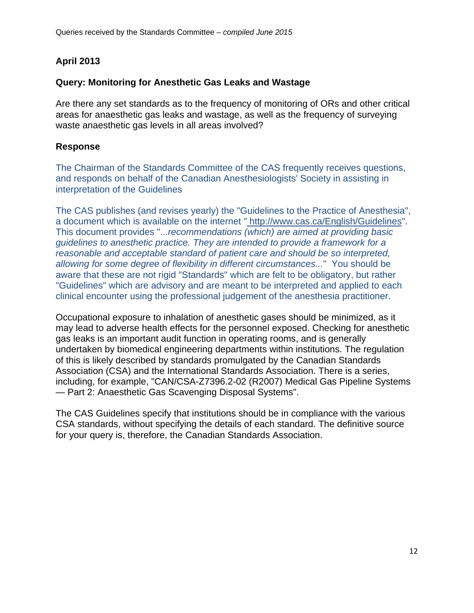# **April 2013**

# **Query: Monitoring for Anesthetic Gas Leaks and Wastage**

Are there any set standards as to the frequency of monitoring of ORs and other critical areas for anaesthetic gas leaks and wastage, as well as the frequency of surveying waste anaesthetic gas levels in all areas involved?

# **Response**

The Chairman of the Standards Committee of the CAS frequently receives questions, and responds on behalf of the Canadian Anesthesiologists' Society in assisting in interpretation of the Guidelines

The CAS publishes (and revises yearly) the "Guidelines to the Practice of Anesthesia", a document which is available on the internet " http://www.cas.ca/English/Guidelines". This document provides "..*.recommendations (which) are aimed at providing basic guidelines to anesthetic practice. They are intended to provide a framework for a reasonable and acceptable standard of patient care and should be so interpreted, allowing for some degree of flexibility in different circumstances...*" You should be aware that these are not rigid "Standards" which are felt to be obligatory, but rather "Guidelines" which are advisory and are meant to be interpreted and applied to each clinical encounter using the professional judgement of the anesthesia practitioner.

Occupational exposure to inhalation of anesthetic gases should be minimized, as it may lead to adverse health effects for the personnel exposed. Checking for anesthetic gas leaks is an important audit function in operating rooms, and is generally undertaken by biomedical engineering departments within institutions. The regulation of this is likely described by standards promulgated by the Canadian Standards Association (CSA) and the International Standards Association. There is a series, including, for example, "CAN/CSA-Z7396.2-02 (R2007) Medical Gas Pipeline Systems — Part 2: Anaesthetic Gas Scavenging Disposal Systems".

The CAS Guidelines specify that institutions should be in compliance with the various CSA standards, without specifying the details of each standard. The definitive source for your query is, therefore, the Canadian Standards Association.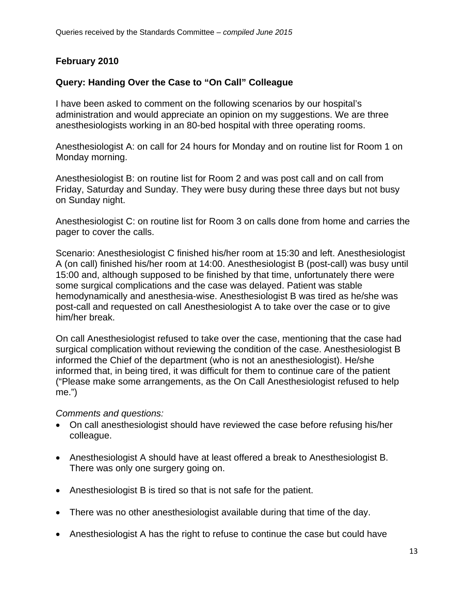# **February 2010**

# **Query: Handing Over the Case to "On Call" Colleague**

I have been asked to comment on the following scenarios by our hospital's administration and would appreciate an opinion on my suggestions. We are three anesthesiologists working in an 80-bed hospital with three operating rooms.

Anesthesiologist A: on call for 24 hours for Monday and on routine list for Room 1 on Monday morning.

Anesthesiologist B: on routine list for Room 2 and was post call and on call from Friday, Saturday and Sunday. They were busy during these three days but not busy on Sunday night.

Anesthesiologist C: on routine list for Room 3 on calls done from home and carries the pager to cover the calls.

Scenario: Anesthesiologist C finished his/her room at 15:30 and left. Anesthesiologist A (on call) finished his/her room at 14:00. Anesthesiologist B (post-call) was busy until 15:00 and, although supposed to be finished by that time, unfortunately there were some surgical complications and the case was delayed. Patient was stable hemodynamically and anesthesia-wise. Anesthesiologist B was tired as he/she was post-call and requested on call Anesthesiologist A to take over the case or to give him/her break.

On call Anesthesiologist refused to take over the case, mentioning that the case had surgical complication without reviewing the condition of the case. Anesthesiologist B informed the Chief of the department (who is not an anesthesiologist). He/she informed that, in being tired, it was difficult for them to continue care of the patient ("Please make some arrangements, as the On Call Anesthesiologist refused to help me.")

*Comments and questions:* 

- On call anesthesiologist should have reviewed the case before refusing his/her colleague.
- Anesthesiologist A should have at least offered a break to Anesthesiologist B. There was only one surgery going on.
- Anesthesiologist B is tired so that is not safe for the patient.
- There was no other anesthesiologist available during that time of the day.
- Anesthesiologist A has the right to refuse to continue the case but could have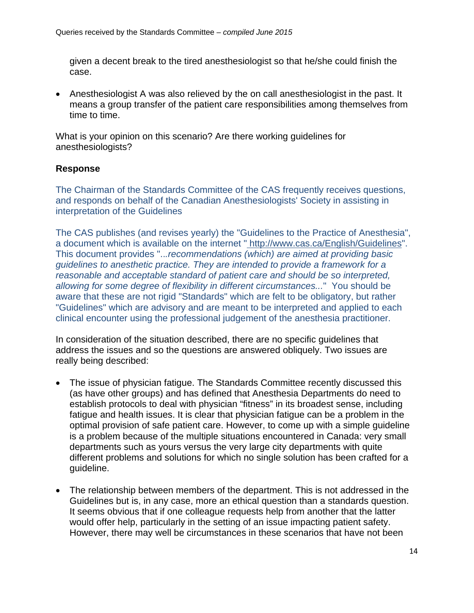given a decent break to the tired anesthesiologist so that he/she could finish the case.

 Anesthesiologist A was also relieved by the on call anesthesiologist in the past. It means a group transfer of the patient care responsibilities among themselves from time to time.

What is your opinion on this scenario? Are there working guidelines for anesthesiologists?

#### **Response**

The Chairman of the Standards Committee of the CAS frequently receives questions, and responds on behalf of the Canadian Anesthesiologists' Society in assisting in interpretation of the Guidelines

The CAS publishes (and revises yearly) the "Guidelines to the Practice of Anesthesia", a document which is available on the internet " http://www.cas.ca/English/Guidelines". This document provides "..*.recommendations (which) are aimed at providing basic guidelines to anesthetic practice. They are intended to provide a framework for a reasonable and acceptable standard of patient care and should be so interpreted, allowing for some degree of flexibility in different circumstances...*" You should be aware that these are not rigid "Standards" which are felt to be obligatory, but rather "Guidelines" which are advisory and are meant to be interpreted and applied to each clinical encounter using the professional judgement of the anesthesia practitioner.

In consideration of the situation described, there are no specific guidelines that address the issues and so the questions are answered obliquely. Two issues are really being described:

- The issue of physician fatigue. The Standards Committee recently discussed this (as have other groups) and has defined that Anesthesia Departments do need to establish protocols to deal with physician "fitness" in its broadest sense, including fatigue and health issues. It is clear that physician fatigue can be a problem in the optimal provision of safe patient care. However, to come up with a simple guideline is a problem because of the multiple situations encountered in Canada: very small departments such as yours versus the very large city departments with quite different problems and solutions for which no single solution has been crafted for a guideline.
- The relationship between members of the department. This is not addressed in the Guidelines but is, in any case, more an ethical question than a standards question. It seems obvious that if one colleague requests help from another that the latter would offer help, particularly in the setting of an issue impacting patient safety. However, there may well be circumstances in these scenarios that have not been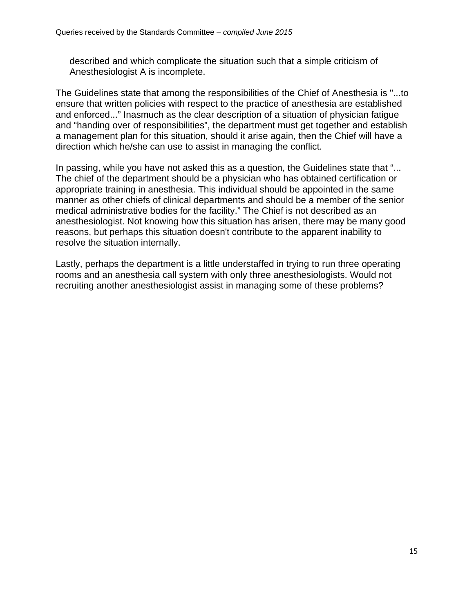described and which complicate the situation such that a simple criticism of Anesthesiologist A is incomplete.

The Guidelines state that among the responsibilities of the Chief of Anesthesia is "...to ensure that written policies with respect to the practice of anesthesia are established and enforced..." Inasmuch as the clear description of a situation of physician fatigue and "handing over of responsibilities", the department must get together and establish a management plan for this situation, should it arise again, then the Chief will have a direction which he/she can use to assist in managing the conflict.

In passing, while you have not asked this as a question, the Guidelines state that "... The chief of the department should be a physician who has obtained certification or appropriate training in anesthesia. This individual should be appointed in the same manner as other chiefs of clinical departments and should be a member of the senior medical administrative bodies for the facility." The Chief is not described as an anesthesiologist. Not knowing how this situation has arisen, there may be many good reasons, but perhaps this situation doesn't contribute to the apparent inability to resolve the situation internally.

Lastly, perhaps the department is a little understaffed in trying to run three operating rooms and an anesthesia call system with only three anesthesiologists. Would not recruiting another anesthesiologist assist in managing some of these problems?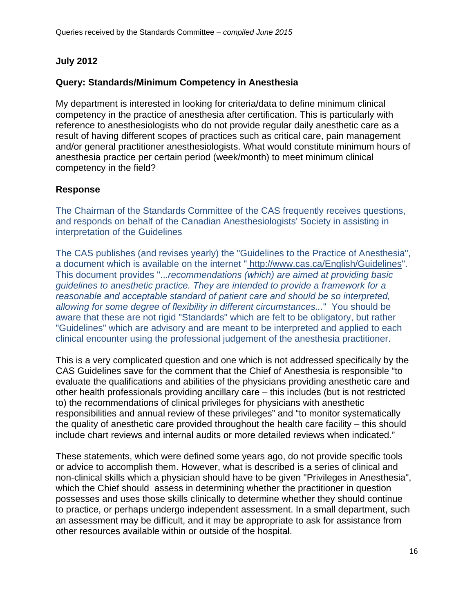## **July 2012**

# **Query: Standards/Minimum Competency in Anesthesia**

My department is interested in looking for criteria/data to define minimum clinical competency in the practice of anesthesia after certification. This is particularly with reference to anesthesiologists who do not provide regular daily anesthetic care as a result of having different scopes of practices such as critical care, pain management and/or general practitioner anesthesiologists. What would constitute minimum hours of anesthesia practice per certain period (week/month) to meet minimum clinical competency in the field?

#### **Response**

The Chairman of the Standards Committee of the CAS frequently receives questions, and responds on behalf of the Canadian Anesthesiologists' Society in assisting in interpretation of the Guidelines

The CAS publishes (and revises yearly) the "Guidelines to the Practice of Anesthesia", a document which is available on the internet " http://www.cas.ca/English/Guidelines". This document provides "..*.recommendations (which) are aimed at providing basic guidelines to anesthetic practice. They are intended to provide a framework for a reasonable and acceptable standard of patient care and should be so interpreted, allowing for some degree of flexibility in different circumstances...*" You should be aware that these are not rigid "Standards" which are felt to be obligatory, but rather "Guidelines" which are advisory and are meant to be interpreted and applied to each clinical encounter using the professional judgement of the anesthesia practitioner.

This is a very complicated question and one which is not addressed specifically by the CAS Guidelines save for the comment that the Chief of Anesthesia is responsible "to evaluate the qualifications and abilities of the physicians providing anesthetic care and other health professionals providing ancillary care – this includes (but is not restricted to) the recommendations of clinical privileges for physicians with anesthetic responsibilities and annual review of these privileges" and "to monitor systematically the quality of anesthetic care provided throughout the health care facility – this should include chart reviews and internal audits or more detailed reviews when indicated."

These statements, which were defined some years ago, do not provide specific tools or advice to accomplish them. However, what is described is a series of clinical and non-clinical skills which a physician should have to be given "Privileges in Anesthesia", which the Chief should assess in determining whether the practitioner in question possesses and uses those skills clinically to determine whether they should continue to practice, or perhaps undergo independent assessment. In a small department, such an assessment may be difficult, and it may be appropriate to ask for assistance from other resources available within or outside of the hospital.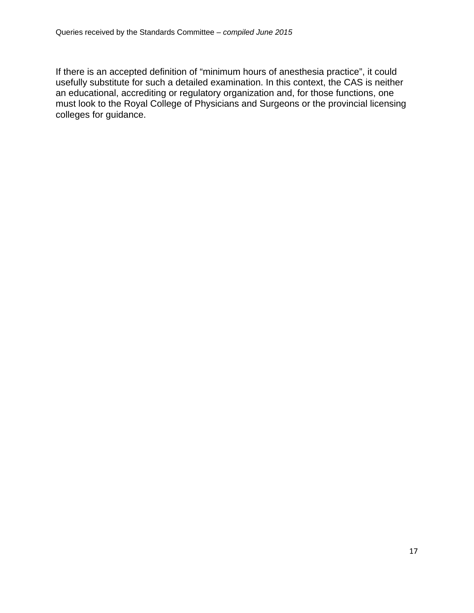If there is an accepted definition of "minimum hours of anesthesia practice", it could usefully substitute for such a detailed examination. In this context, the CAS is neither an educational, accrediting or regulatory organization and, for those functions, one must look to the Royal College of Physicians and Surgeons or the provincial licensing colleges for guidance.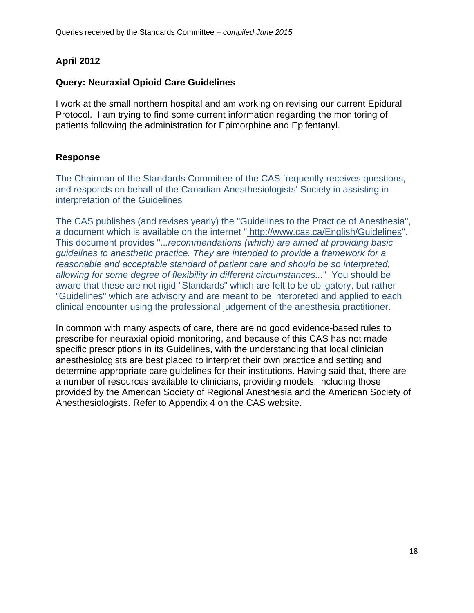# **April 2012**

## **Query: Neuraxial Opioid Care Guidelines**

I work at the small northern hospital and am working on revising our current Epidural Protocol. I am trying to find some current information regarding the monitoring of patients following the administration for Epimorphine and Epifentanyl.

## **Response**

The Chairman of the Standards Committee of the CAS frequently receives questions, and responds on behalf of the Canadian Anesthesiologists' Society in assisting in interpretation of the Guidelines

The CAS publishes (and revises yearly) the "Guidelines to the Practice of Anesthesia", a document which is available on the internet " http://www.cas.ca/English/Guidelines". This document provides "..*.recommendations (which) are aimed at providing basic guidelines to anesthetic practice. They are intended to provide a framework for a reasonable and acceptable standard of patient care and should be so interpreted, allowing for some degree of flexibility in different circumstances...*" You should be aware that these are not rigid "Standards" which are felt to be obligatory, but rather "Guidelines" which are advisory and are meant to be interpreted and applied to each clinical encounter using the professional judgement of the anesthesia practitioner.

In common with many aspects of care, there are no good evidence-based rules to prescribe for neuraxial opioid monitoring, and because of this CAS has not made specific prescriptions in its Guidelines, with the understanding that local clinician anesthesiologists are best placed to interpret their own practice and setting and determine appropriate care guidelines for their institutions. Having said that, there are a number of resources available to clinicians, providing models, including those provided by the American Society of Regional Anesthesia and the American Society of Anesthesiologists. Refer to Appendix 4 on the CAS website.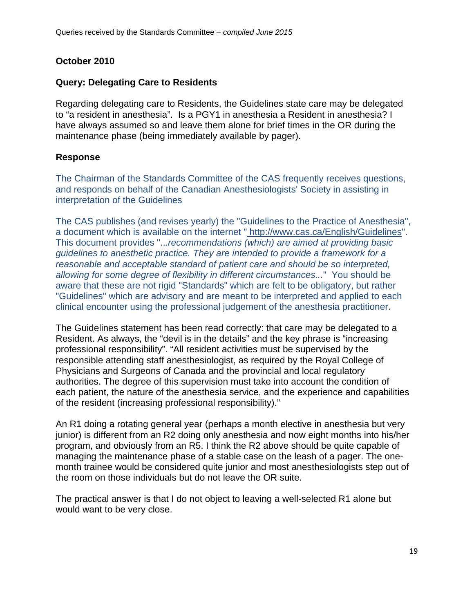# **October 2010**

#### **Query: Delegating Care to Residents**

Regarding delegating care to Residents, the Guidelines state care may be delegated to "a resident in anesthesia". Is a PGY1 in anesthesia a Resident in anesthesia? I have always assumed so and leave them alone for brief times in the OR during the maintenance phase (being immediately available by pager).

## **Response**

The Chairman of the Standards Committee of the CAS frequently receives questions, and responds on behalf of the Canadian Anesthesiologists' Society in assisting in interpretation of the Guidelines

The CAS publishes (and revises yearly) the "Guidelines to the Practice of Anesthesia", a document which is available on the internet " http://www.cas.ca/English/Guidelines". This document provides "..*.recommendations (which) are aimed at providing basic guidelines to anesthetic practice. They are intended to provide a framework for a reasonable and acceptable standard of patient care and should be so interpreted, allowing for some degree of flexibility in different circumstances...*" You should be aware that these are not rigid "Standards" which are felt to be obligatory, but rather "Guidelines" which are advisory and are meant to be interpreted and applied to each clinical encounter using the professional judgement of the anesthesia practitioner.

The Guidelines statement has been read correctly: that care may be delegated to a Resident. As always, the "devil is in the details" and the key phrase is "increasing professional responsibility". "All resident activities must be supervised by the responsible attending staff anesthesiologist, as required by the Royal College of Physicians and Surgeons of Canada and the provincial and local regulatory authorities. The degree of this supervision must take into account the condition of each patient, the nature of the anesthesia service, and the experience and capabilities of the resident (increasing professional responsibility)."

An R1 doing a rotating general year (perhaps a month elective in anesthesia but very junior) is different from an R2 doing only anesthesia and now eight months into his/her program, and obviously from an R5. I think the R2 above should be quite capable of managing the maintenance phase of a stable case on the leash of a pager. The onemonth trainee would be considered quite junior and most anesthesiologists step out of the room on those individuals but do not leave the OR suite.

The practical answer is that I do not object to leaving a well-selected R1 alone but would want to be very close.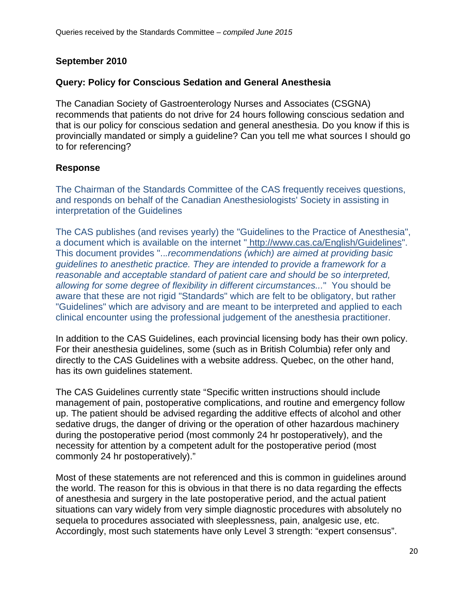# **September 2010**

## **Query: Policy for Conscious Sedation and General Anesthesia**

The Canadian Society of Gastroenterology Nurses and Associates (CSGNA) recommends that patients do not drive for 24 hours following conscious sedation and that is our policy for conscious sedation and general anesthesia. Do you know if this is provincially mandated or simply a guideline? Can you tell me what sources I should go to for referencing?

## **Response**

The Chairman of the Standards Committee of the CAS frequently receives questions, and responds on behalf of the Canadian Anesthesiologists' Society in assisting in interpretation of the Guidelines

The CAS publishes (and revises yearly) the "Guidelines to the Practice of Anesthesia", a document which is available on the internet " http://www.cas.ca/English/Guidelines". This document provides "..*.recommendations (which) are aimed at providing basic guidelines to anesthetic practice. They are intended to provide a framework for a reasonable and acceptable standard of patient care and should be so interpreted, allowing for some degree of flexibility in different circumstances...*" You should be aware that these are not rigid "Standards" which are felt to be obligatory, but rather "Guidelines" which are advisory and are meant to be interpreted and applied to each clinical encounter using the professional judgement of the anesthesia practitioner.

In addition to the CAS Guidelines, each provincial licensing body has their own policy. For their anesthesia guidelines, some (such as in British Columbia) refer only and directly to the CAS Guidelines with a website address. Quebec, on the other hand, has its own guidelines statement.

The CAS Guidelines currently state "Specific written instructions should include management of pain, postoperative complications, and routine and emergency follow up. The patient should be advised regarding the additive effects of alcohol and other sedative drugs, the danger of driving or the operation of other hazardous machinery during the postoperative period (most commonly 24 hr postoperatively), and the necessity for attention by a competent adult for the postoperative period (most commonly 24 hr postoperatively)."

Most of these statements are not referenced and this is common in guidelines around the world. The reason for this is obvious in that there is no data regarding the effects of anesthesia and surgery in the late postoperative period, and the actual patient situations can vary widely from very simple diagnostic procedures with absolutely no sequela to procedures associated with sleeplessness, pain, analgesic use, etc. Accordingly, most such statements have only Level 3 strength: "expert consensus".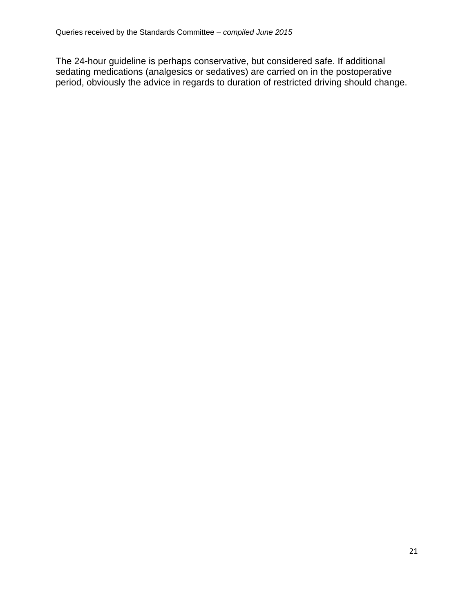The 24-hour guideline is perhaps conservative, but considered safe. If additional sedating medications (analgesics or sedatives) are carried on in the postoperative period, obviously the advice in regards to duration of restricted driving should change.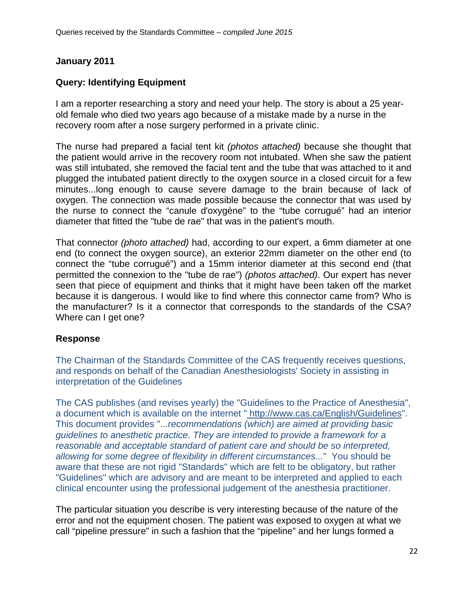# **January 2011**

# **Query: Identifying Equipment**

I am a reporter researching a story and need your help. The story is about a 25 yearold female who died two years ago because of a mistake made by a nurse in the recovery room after a nose surgery performed in a private clinic.

The nurse had prepared a facial tent kit *(photos attached)* because she thought that the patient would arrive in the recovery room not intubated. When she saw the patient was still intubated, she removed the facial tent and the tube that was attached to it and plugged the intubated patient directly to the oxygen source in a closed circuit for a few minutes...long enough to cause severe damage to the brain because of lack of oxygen. The connection was made possible because the connector that was used by the nurse to connect the "canule d'oxygène" to the "tube corrugué" had an interior diameter that fitted the "tube de rae" that was in the patient's mouth.

That connector *(photo attached)* had, according to our expert, a 6mm diameter at one end (to connect the oxygen source), an exterior 22mm diameter on the other end (to connect the "tube corrugué") and a 15mm interior diameter at this second end (that permitted the connexion to the "tube de rae") *(photos attached)*. Our expert has never seen that piece of equipment and thinks that it might have been taken off the market because it is dangerous. I would like to find where this connector came from? Who is the manufacturer? Is it a connector that corresponds to the standards of the CSA? Where can I get one?

# **Response**

The Chairman of the Standards Committee of the CAS frequently receives questions, and responds on behalf of the Canadian Anesthesiologists' Society in assisting in interpretation of the Guidelines

The CAS publishes (and revises yearly) the "Guidelines to the Practice of Anesthesia", a document which is available on the internet " http://www.cas.ca/English/Guidelines". This document provides "..*.recommendations (which) are aimed at providing basic guidelines to anesthetic practice. They are intended to provide a framework for a reasonable and acceptable standard of patient care and should be so interpreted, allowing for some degree of flexibility in different circumstances...*" You should be aware that these are not rigid "Standards" which are felt to be obligatory, but rather "Guidelines" which are advisory and are meant to be interpreted and applied to each clinical encounter using the professional judgement of the anesthesia practitioner.

The particular situation you describe is very interesting because of the nature of the error and not the equipment chosen. The patient was exposed to oxygen at what we call "pipeline pressure" in such a fashion that the "pipeline" and her lungs formed a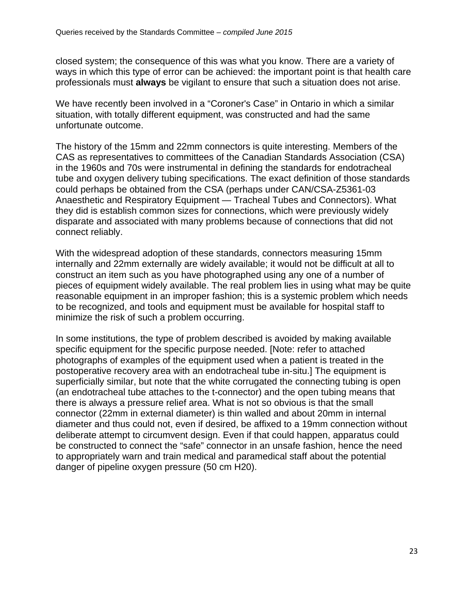closed system; the consequence of this was what you know. There are a variety of ways in which this type of error can be achieved: the important point is that health care professionals must **always** be vigilant to ensure that such a situation does not arise.

We have recently been involved in a "Coroner's Case" in Ontario in which a similar situation, with totally different equipment, was constructed and had the same unfortunate outcome.

The history of the 15mm and 22mm connectors is quite interesting. Members of the CAS as representatives to committees of the Canadian Standards Association (CSA) in the 1960s and 70s were instrumental in defining the standards for endotracheal tube and oxygen delivery tubing specifications. The exact definition of those standards could perhaps be obtained from the CSA (perhaps under CAN/CSA-Z5361-03 Anaesthetic and Respiratory Equipment — Tracheal Tubes and Connectors). What they did is establish common sizes for connections, which were previously widely disparate and associated with many problems because of connections that did not connect reliably.

With the widespread adoption of these standards, connectors measuring 15mm internally and 22mm externally are widely available; it would not be difficult at all to construct an item such as you have photographed using any one of a number of pieces of equipment widely available. The real problem lies in using what may be quite reasonable equipment in an improper fashion; this is a systemic problem which needs to be recognized, and tools and equipment must be available for hospital staff to minimize the risk of such a problem occurring.

In some institutions, the type of problem described is avoided by making available specific equipment for the specific purpose needed. [Note: refer to attached photographs of examples of the equipment used when a patient is treated in the postoperative recovery area with an endotracheal tube in-situ.] The equipment is superficially similar, but note that the white corrugated the connecting tubing is open (an endotracheal tube attaches to the t-connector) and the open tubing means that there is always a pressure relief area. What is not so obvious is that the small connector (22mm in external diameter) is thin walled and about 20mm in internal diameter and thus could not, even if desired, be affixed to a 19mm connection without deliberate attempt to circumvent design. Even if that could happen, apparatus could be constructed to connect the "safe" connector in an unsafe fashion, hence the need to appropriately warn and train medical and paramedical staff about the potential danger of pipeline oxygen pressure (50 cm H20).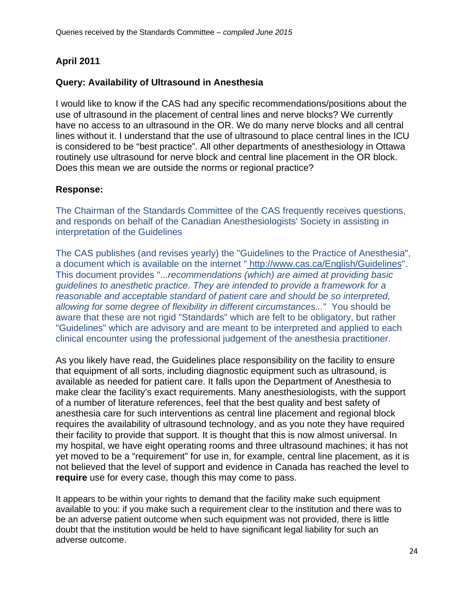# **April 2011**

# **Query: Availability of Ultrasound in Anesthesia**

I would like to know if the CAS had any specific recommendations/positions about the use of ultrasound in the placement of central lines and nerve blocks? We currently have no access to an ultrasound in the OR. We do many nerve blocks and all central lines without it. I understand that the use of ultrasound to place central lines in the ICU is considered to be "best practice". All other departments of anesthesiology in Ottawa routinely use ultrasound for nerve block and central line placement in the OR block. Does this mean we are outside the norms or regional practice?

#### **Response:**

The Chairman of the Standards Committee of the CAS frequently receives questions, and responds on behalf of the Canadian Anesthesiologists' Society in assisting in interpretation of the Guidelines

The CAS publishes (and revises yearly) the "Guidelines to the Practice of Anesthesia", a document which is available on the internet " http://www.cas.ca/English/Guidelines". This document provides "..*.recommendations (which) are aimed at providing basic guidelines to anesthetic practice. They are intended to provide a framework for a reasonable and acceptable standard of patient care and should be so interpreted, allowing for some degree of flexibility in different circumstances...*" You should be aware that these are not rigid "Standards" which are felt to be obligatory, but rather "Guidelines" which are advisory and are meant to be interpreted and applied to each clinical encounter using the professional judgement of the anesthesia practitioner.

As you likely have read, the Guidelines place responsibility on the facility to ensure that equipment of all sorts, including diagnostic equipment such as ultrasound, is available as needed for patient care. It falls upon the Department of Anesthesia to make clear the facility's exact requirements. Many anesthesiologists, with the support of a number of literature references, feel that the best quality and best safety of anesthesia care for such interventions as central line placement and regional block requires the availability of ultrasound technology, and as you note they have required their facility to provide that support. It is thought that this is now almost universal. In my hospital, we have eight operating rooms and three ultrasound machines; it has not yet moved to be a "requirement" for use in, for example, central line placement, as it is not believed that the level of support and evidence in Canada has reached the level to **require** use for every case, though this may come to pass.

It appears to be within your rights to demand that the facility make such equipment available to you: if you make such a requirement clear to the institution and there was to be an adverse patient outcome when such equipment was not provided, there is little doubt that the institution would be held to have significant legal liability for such an adverse outcome.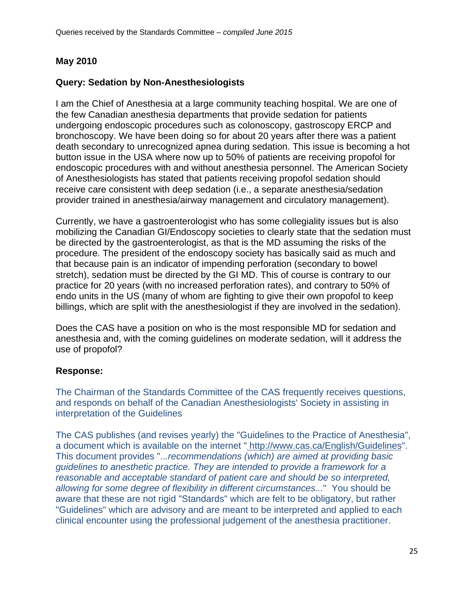# **May 2010**

# **Query: Sedation by Non-Anesthesiologists**

I am the Chief of Anesthesia at a large community teaching hospital. We are one of the few Canadian anesthesia departments that provide sedation for patients undergoing endoscopic procedures such as colonoscopy, gastroscopy ERCP and bronchoscopy. We have been doing so for about 20 years after there was a patient death secondary to unrecognized apnea during sedation. This issue is becoming a hot button issue in the USA where now up to 50% of patients are receiving propofol for endoscopic procedures with and without anesthesia personnel. The American Society of Anesthesiologists has stated that patients receiving propofol sedation should receive care consistent with deep sedation (i.e., a separate anesthesia/sedation provider trained in anesthesia/airway management and circulatory management).

Currently, we have a gastroenterologist who has some collegiality issues but is also mobilizing the Canadian GI/Endoscopy societies to clearly state that the sedation must be directed by the gastroenterologist, as that is the MD assuming the risks of the procedure. The president of the endoscopy society has basically said as much and that because pain is an indicator of impending perforation (secondary to bowel stretch), sedation must be directed by the GI MD. This of course is contrary to our practice for 20 years (with no increased perforation rates), and contrary to 50% of endo units in the US (many of whom are fighting to give their own propofol to keep billings, which are split with the anesthesiologist if they are involved in the sedation).

Does the CAS have a position on who is the most responsible MD for sedation and anesthesia and, with the coming guidelines on moderate sedation, will it address the use of propofol?

# **Response:**

The Chairman of the Standards Committee of the CAS frequently receives questions, and responds on behalf of the Canadian Anesthesiologists' Society in assisting in interpretation of the Guidelines

The CAS publishes (and revises yearly) the "Guidelines to the Practice of Anesthesia", a document which is available on the internet " http://www.cas.ca/English/Guidelines". This document provides "..*.recommendations (which) are aimed at providing basic guidelines to anesthetic practice. They are intended to provide a framework for a reasonable and acceptable standard of patient care and should be so interpreted, allowing for some degree of flexibility in different circumstances...*" You should be aware that these are not rigid "Standards" which are felt to be obligatory, but rather "Guidelines" which are advisory and are meant to be interpreted and applied to each clinical encounter using the professional judgement of the anesthesia practitioner.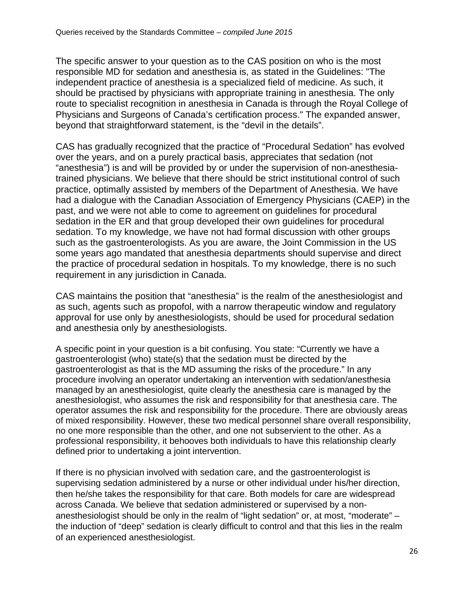The specific answer to your question as to the CAS position on who is the most responsible MD for sedation and anesthesia is, as stated in the Guidelines: "The independent practice of anesthesia is a specialized field of medicine. As such, it should be practised by physicians with appropriate training in anesthesia. The only route to specialist recognition in anesthesia in Canada is through the Royal College of Physicians and Surgeons of Canada's certification process." The expanded answer, beyond that straightforward statement, is the "devil in the details".

CAS has gradually recognized that the practice of "Procedural Sedation" has evolved over the years, and on a purely practical basis, appreciates that sedation (not "anesthesia") is and will be provided by or under the supervision of non-anesthesiatrained physicians. We believe that there should be strict institutional control of such practice, optimally assisted by members of the Department of Anesthesia. We have had a dialogue with the Canadian Association of Emergency Physicians (CAEP) in the past, and we were not able to come to agreement on guidelines for procedural sedation in the ER and that group developed their own guidelines for procedural sedation. To my knowledge, we have not had formal discussion with other groups such as the gastroenterologists. As you are aware, the Joint Commission in the US some years ago mandated that anesthesia departments should supervise and direct the practice of procedural sedation in hospitals. To my knowledge, there is no such requirement in any jurisdiction in Canada.

CAS maintains the position that "anesthesia" is the realm of the anesthesiologist and as such, agents such as propofol, with a narrow therapeutic window and regulatory approval for use only by anesthesiologists, should be used for procedural sedation and anesthesia only by anesthesiologists.

A specific point in your question is a bit confusing. You state: "Currently we have a gastroenterologist (who) state(s) that the sedation must be directed by the gastroenterologist as that is the MD assuming the risks of the procedure." In any procedure involving an operator undertaking an intervention with sedation/anesthesia managed by an anesthesiologist, quite clearly the anesthesia care is managed by the anesthesiologist, who assumes the risk and responsibility for that anesthesia care. The operator assumes the risk and responsibility for the procedure. There are obviously areas of mixed responsibility. However, these two medical personnel share overall responsibility, no one more responsible than the other, and one not subservient to the other. As a professional responsibility, it behooves both individuals to have this relationship clearly defined prior to undertaking a joint intervention.

If there is no physician involved with sedation care, and the gastroenterologist is supervising sedation administered by a nurse or other individual under his/her direction, then he/she takes the responsibility for that care. Both models for care are widespread across Canada. We believe that sedation administered or supervised by a nonanesthesiologist should be only in the realm of "light sedation" or, at most, "moderate" – the induction of "deep" sedation is clearly difficult to control and that this lies in the realm of an experienced anesthesiologist.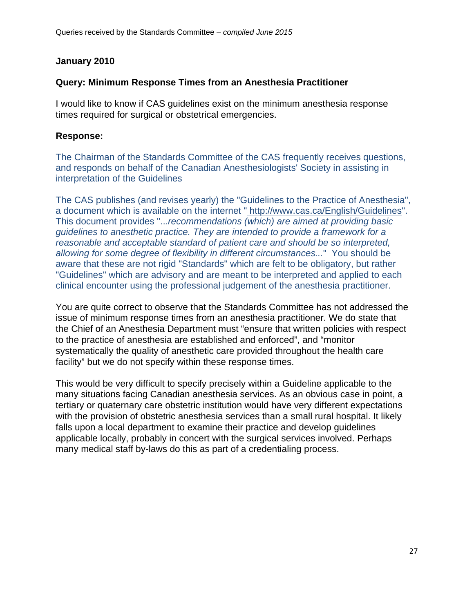# **January 2010**

# **Query: Minimum Response Times from an Anesthesia Practitioner**

I would like to know if CAS guidelines exist on the minimum anesthesia response times required for surgical or obstetrical emergencies.

# **Response:**

The Chairman of the Standards Committee of the CAS frequently receives questions, and responds on behalf of the Canadian Anesthesiologists' Society in assisting in interpretation of the Guidelines

The CAS publishes (and revises yearly) the "Guidelines to the Practice of Anesthesia", a document which is available on the internet " http://www.cas.ca/English/Guidelines". This document provides "..*.recommendations (which) are aimed at providing basic guidelines to anesthetic practice. They are intended to provide a framework for a reasonable and acceptable standard of patient care and should be so interpreted, allowing for some degree of flexibility in different circumstances...*" You should be aware that these are not rigid "Standards" which are felt to be obligatory, but rather "Guidelines" which are advisory and are meant to be interpreted and applied to each clinical encounter using the professional judgement of the anesthesia practitioner.

You are quite correct to observe that the Standards Committee has not addressed the issue of minimum response times from an anesthesia practitioner. We do state that the Chief of an Anesthesia Department must "ensure that written policies with respect to the practice of anesthesia are established and enforced", and "monitor systematically the quality of anesthetic care provided throughout the health care facility" but we do not specify within these response times.

This would be very difficult to specify precisely within a Guideline applicable to the many situations facing Canadian anesthesia services. As an obvious case in point, a tertiary or quaternary care obstetric institution would have very different expectations with the provision of obstetric anesthesia services than a small rural hospital. It likely falls upon a local department to examine their practice and develop guidelines applicable locally, probably in concert with the surgical services involved. Perhaps many medical staff by-laws do this as part of a credentialing process.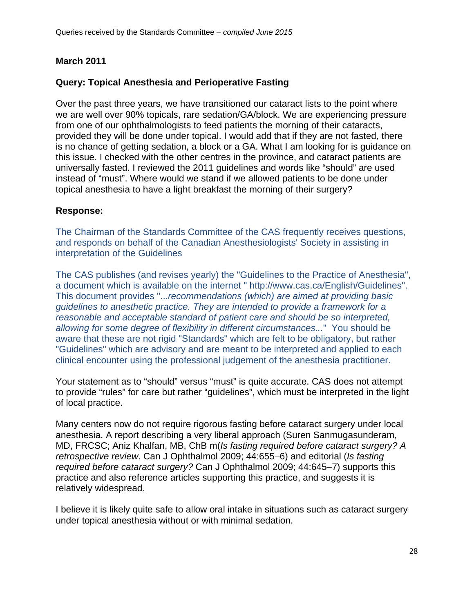# **March 2011**

# **Query: Topical Anesthesia and Perioperative Fasting**

Over the past three years, we have transitioned our cataract lists to the point where we are well over 90% topicals, rare sedation/GA/block. We are experiencing pressure from one of our ophthalmologists to feed patients the morning of their cataracts, provided they will be done under topical. I would add that if they are not fasted, there is no chance of getting sedation, a block or a GA. What I am looking for is guidance on this issue. I checked with the other centres in the province, and cataract patients are universally fasted. I reviewed the 2011 guidelines and words like "should" are used instead of "must". Where would we stand if we allowed patients to be done under topical anesthesia to have a light breakfast the morning of their surgery?

## **Response:**

The Chairman of the Standards Committee of the CAS frequently receives questions, and responds on behalf of the Canadian Anesthesiologists' Society in assisting in interpretation of the Guidelines

The CAS publishes (and revises yearly) the "Guidelines to the Practice of Anesthesia", a document which is available on the internet " http://www.cas.ca/English/Guidelines". This document provides "..*.recommendations (which) are aimed at providing basic guidelines to anesthetic practice. They are intended to provide a framework for a reasonable and acceptable standard of patient care and should be so interpreted, allowing for some degree of flexibility in different circumstances...*" You should be aware that these are not rigid "Standards" which are felt to be obligatory, but rather "Guidelines" which are advisory and are meant to be interpreted and applied to each clinical encounter using the professional judgement of the anesthesia practitioner.

Your statement as to "should" versus "must" is quite accurate. CAS does not attempt to provide "rules" for care but rather "guidelines", which must be interpreted in the light of local practice.

Many centers now do not require rigorous fasting before cataract surgery under local anesthesia. A report describing a very liberal approach (Suren Sanmugasunderam, MD, FRCSC; Aniz Khalfan, MB, ChB m(*Is fasting required before cataract surgery? A retrospective review*. Can J Ophthalmol 2009; 44:655–6) and editorial (*Is fasting required before cataract surgery?* Can J Ophthalmol 2009; 44:645–7) supports this practice and also reference articles supporting this practice, and suggests it is relatively widespread.

I believe it is likely quite safe to allow oral intake in situations such as cataract surgery under topical anesthesia without or with minimal sedation.